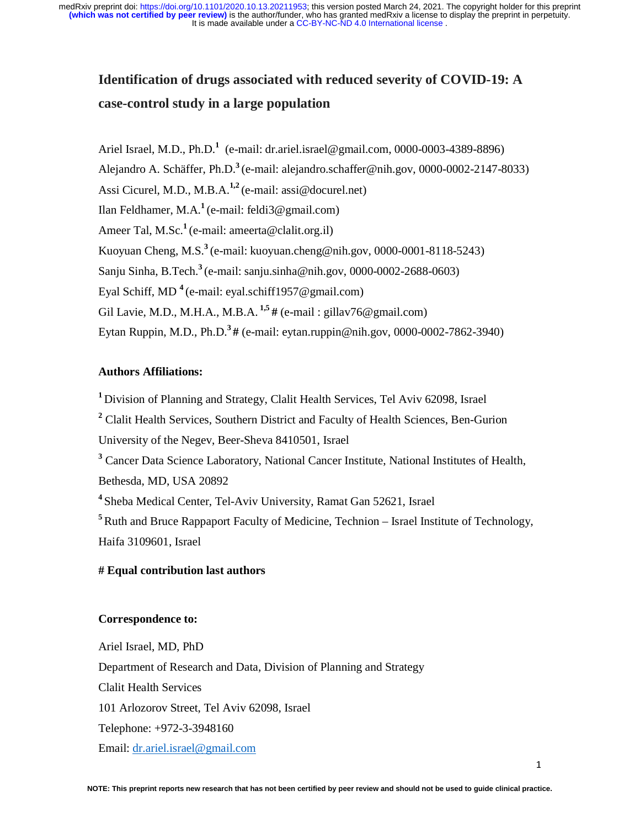# **Identification of drugs associated with reduced severity of COVID-19: A case-control study in a large population**

Ariel Israel, M.D., Ph.D.<sup>1</sup> (e-mail: dr.ariel.israel@gmail.com, 0000-0003-4389-8896) Alejandro A. Schäffer, Ph.D.**<sup>3</sup>**(e-mail: alejandro.schaffer@nih.gov, 0000-0002-2147-8033) Assi Cicurel, M.D., M.B.A.**1,2** (e-mail: assi@docurel.net) Ilan Feldhamer, M.A.**<sup>1</sup>**(e-mail: feldi3@gmail.com) Ameer Tal, M.Sc.<sup>1</sup> (e-mail: ameerta@clalit.org.il) Kuoyuan Cheng, M.S.**<sup>3</sup>**(e-mail: kuoyuan.cheng@nih.gov, 0000-0001-8118-5243) Sanju Sinha, B.Tech.**<sup>3</sup>**(e-mail: sanju.sinha@nih.gov, 0000-0002-2688-0603) Eyal Schiff, MD **<sup>4</sup>**(e-mail: eyal.schiff1957@gmail.com) Gil Lavie, M.D., M.H.A., M.B.A. **1,5 #** (e-mail : gillav76@gmail.com) Eytan Ruppin, M.D., Ph.D.**3 #** (e-mail: eytan.ruppin@nih.gov, 0000-0002-7862-3940)

# **Authors Affiliations:**

**<sup>1</sup>** Division of Planning and Strategy, Clalit Health Services, Tel Aviv 62098, Israel <sup>2</sup> Clalit Health Services, Southern District and Faculty of Health Sciences, Ben-Gurion University of the Negev, Beer-Sheva 8410501, Israel <sup>3</sup> Cancer Data Science Laboratory, National Cancer Institute, National Institutes of Health, Bethesda, MD, USA 20892 **<sup>4</sup>**Sheba Medical Center, Tel-Aviv University, Ramat Gan 52621, Israel <sup>5</sup>Ruth and Bruce Rappaport Faculty of Medicine, Technion – Israel Institute of Technology, Haifa 3109601, Israel

# **# Equal contribution last authors**

# **Correspondence to:**

Ariel Israel, MD, PhD Department of Research and Data, Division of Planning and Strategy Clalit Health Services 101 Arlozorov Street, Tel Aviv 62098, Israel Telephone: +972-3-3948160 Email: dr.ariel.israel@gmail.com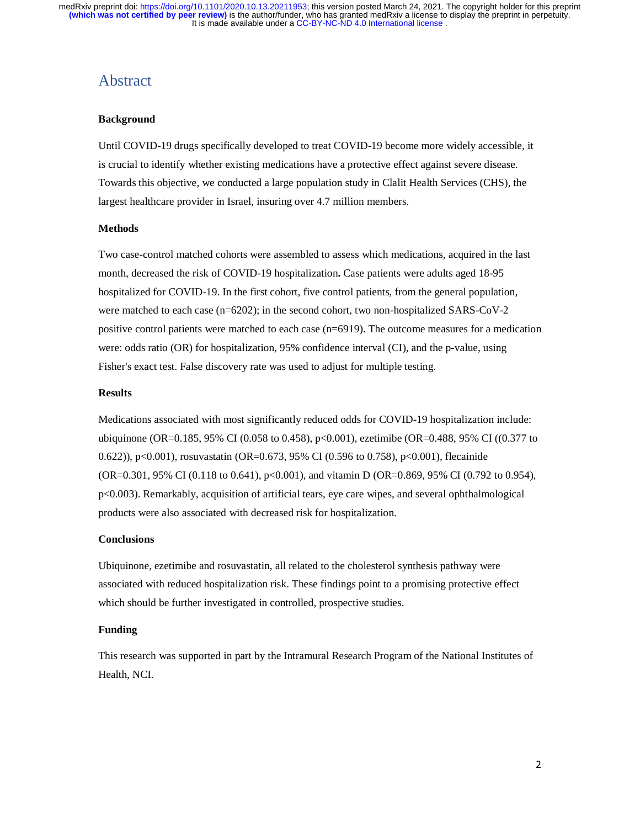# Abstract

### **Background**

Until COVID-19 drugs specifically developed to treat COVID-19 become more widely accessible, it is crucial to identify whether existing medications have a protective effect against severe disease. Towards this objective, we conducted a large population study in Clalit Health Services (CHS), the largest healthcare provider in Israel, insuring over 4.7 million members.

#### **Methods**

Two case-control matched cohorts were assembled to assess which medications, acquired in the last month, decreased the risk of COVID-19 hospitalization**.** Case patients were adults aged 18-95 hospitalized for COVID-19. In the first cohort, five control patients, from the general population, were matched to each case (n=6202); in the second cohort, two non-hospitalized SARS-CoV-2 positive control patients were matched to each case (n=6919). The outcome measures for a medication were: odds ratio (OR) for hospitalization, 95% confidence interval (CI), and the p-value, using Fisher's exact test. False discovery rate was used to adjust for multiple testing.

#### **Results**

Medications associated with most significantly reduced odds for COVID-19 hospitalization include: ubiquinone (OR=0.185, 95% CI (0.058 to 0.458), p<0.001), ezetimibe (OR=0.488, 95% CI ((0.377 to 0.622)), p<0.001), rosuvastatin (OR=0.673, 95% CI (0.596 to 0.758), p<0.001), flecainide (OR=0.301, 95% CI (0.118 to 0.641), p<0.001), and vitamin D (OR=0.869, 95% CI (0.792 to 0.954), p<0.003). Remarkably, acquisition of artificial tears, eye care wipes, and several ophthalmological products were also associated with decreased risk for hospitalization.

### **Conclusions**

Ubiquinone, ezetimibe and rosuvastatin, all related to the cholesterol synthesis pathway were associated with reduced hospitalization risk. These findings point to a promising protective effect which should be further investigated in controlled, prospective studies.

#### **Funding**

This research was supported in part by the Intramural Research Program of the National Institutes of Health, NCI.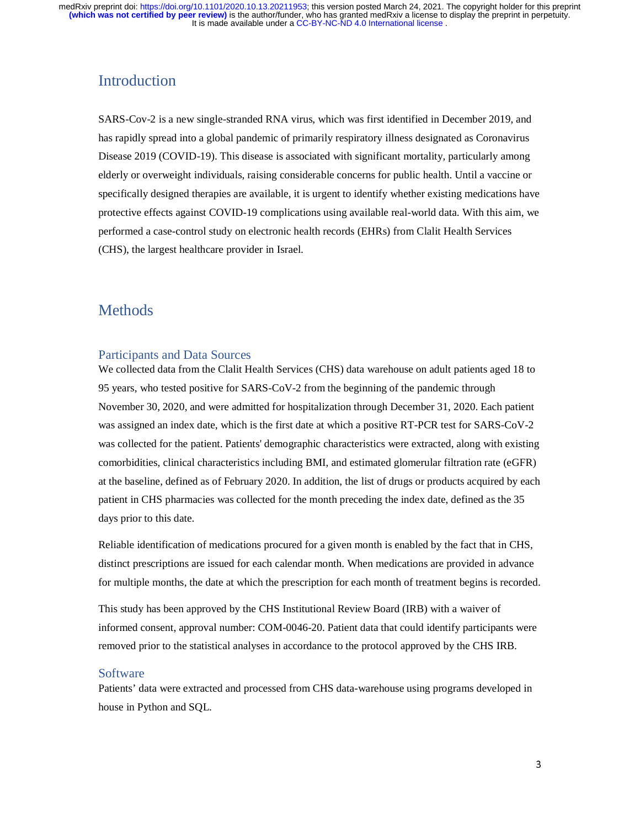# Introduction

SARS-Cov-2 is a new single-stranded RNA virus, which was first identified in December 2019, and has rapidly spread into a global pandemic of primarily respiratory illness designated as Coronavirus Disease 2019 (COVID-19). This disease is associated with significant mortality, particularly among elderly or overweight individuals, raising considerable concerns for public health. Until a vaccine or specifically designed therapies are available, it is urgent to identify whether existing medications have protective effects against COVID-19 complications using available real-world data. With this aim, we performed a case-control study on electronic health records (EHRs) from Clalit Health Services (CHS), the largest healthcare provider in Israel.

# **Methods**

### Participants and Data Sources

We collected data from the Clalit Health Services (CHS) data warehouse on adult patients aged 18 to 95 years, who tested positive for SARS-CoV-2 from the beginning of the pandemic through November 30, 2020, and were admitted for hospitalization through December 31, 2020. Each patient was assigned an index date, which is the first date at which a positive RT-PCR test for SARS-CoV-2 was collected for the patient. Patients' demographic characteristics were extracted, along with existing comorbidities, clinical characteristics including BMI, and estimated glomerular filtration rate (eGFR) at the baseline, defined as of February 2020. In addition, the list of drugs or products acquired by each patient in CHS pharmacies was collected for the month preceding the index date, defined as the 35 days prior to this date.

Reliable identification of medications procured for a given month is enabled by the fact that in CHS, distinct prescriptions are issued for each calendar month. When medications are provided in advance for multiple months, the date at which the prescription for each month of treatment begins is recorded.

This study has been approved by the CHS Institutional Review Board (IRB) with a waiver of informed consent, approval number: COM-0046-20. Patient data that could identify participants were removed prior to the statistical analyses in accordance to the protocol approved by the CHS IRB.

### Software

Patients' data were extracted and processed from CHS data-warehouse using programs developed in house in Python and SQL.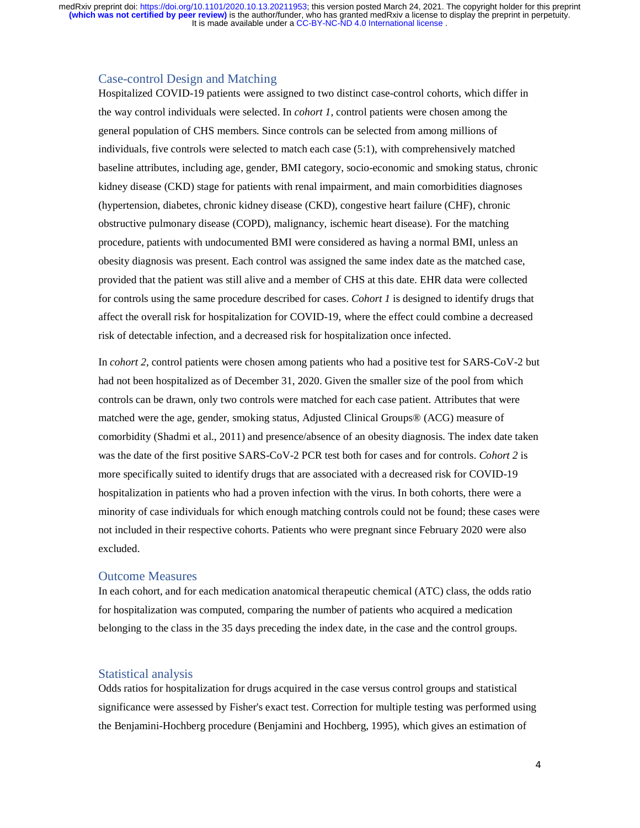### Case-control Design and Matching

Hospitalized COVID-19 patients were assigned to two distinct case-control cohorts, which differ in the way control individuals were selected. In *cohort 1*, control patients were chosen among the general population of CHS members. Since controls can be selected from among millions of individuals, five controls were selected to match each case (5:1), with comprehensively matched baseline attributes, including age, gender, BMI category, socio-economic and smoking status, chronic kidney disease (CKD) stage for patients with renal impairment, and main comorbidities diagnoses (hypertension, diabetes, chronic kidney disease (CKD), congestive heart failure (CHF), chronic obstructive pulmonary disease (COPD), malignancy, ischemic heart disease). For the matching procedure, patients with undocumented BMI were considered as having a normal BMI, unless an obesity diagnosis was present. Each control was assigned the same index date as the matched case, provided that the patient was still alive and a member of CHS at this date. EHR data were collected for controls using the same procedure described for cases. *Cohort 1* is designed to identify drugs that affect the overall risk for hospitalization for COVID-19, where the effect could combine a decreased risk of detectable infection, and a decreased risk for hospitalization once infected.

In *cohort 2*, control patients were chosen among patients who had a positive test for SARS-CoV-2 but had not been hospitalized as of December 31, 2020. Given the smaller size of the pool from which controls can be drawn, only two controls were matched for each case patient. Attributes that were matched were the age, gender, smoking status, Adjusted Clinical Groups® (ACG) measure of comorbidity (Shadmi et al., 2011) and presence/absence of an obesity diagnosis. The index date taken was the date of the first positive SARS-CoV-2 PCR test both for cases and for controls. *Cohort 2* is more specifically suited to identify drugs that are associated with a decreased risk for COVID-19 hospitalization in patients who had a proven infection with the virus. In both cohorts, there were a minority of case individuals for which enough matching controls could not be found; these cases were not included in their respective cohorts. Patients who were pregnant since February 2020 were also excluded.

#### Outcome Measures

In each cohort, and for each medication anatomical therapeutic chemical (ATC) class, the odds ratio for hospitalization was computed, comparing the number of patients who acquired a medication belonging to the class in the 35 days preceding the index date, in the case and the control groups.

### Statistical analysis

Odds ratios for hospitalization for drugs acquired in the case versus control groups and statistical significance were assessed by Fisher's exact test. Correction for multiple testing was performed using the Benjamini-Hochberg procedure (Benjamini and Hochberg, 1995), which gives an estimation of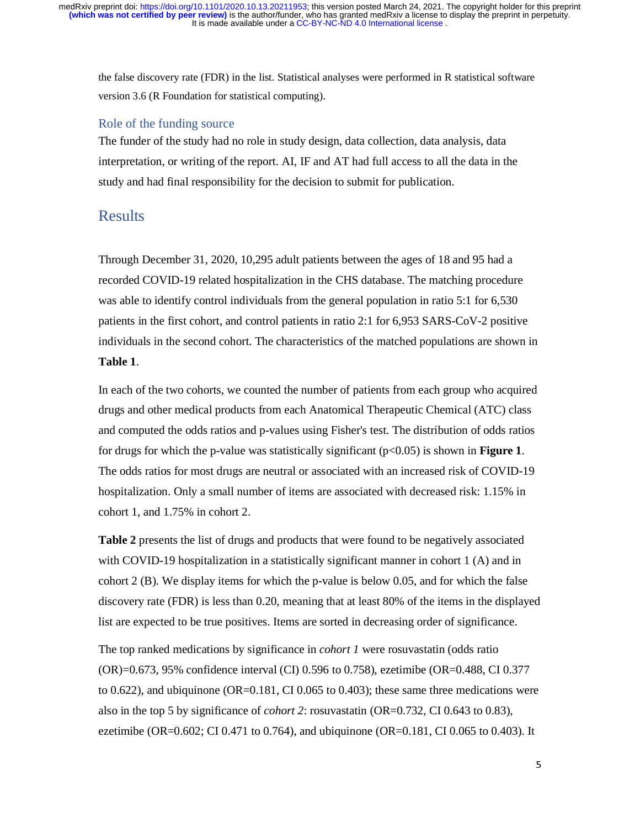the false discovery rate (FDR) in the list. Statistical analyses were performed in R statistical software version 3.6 (R Foundation for statistical computing).

### Role of the funding source

The funder of the study had no role in study design, data collection, data analysis, data interpretation, or writing of the report. AI, IF and AT had full access to all the data in the study and had final responsibility for the decision to submit for publication.

# Results

Through December 31, 2020, 10,295 adult patients between the ages of 18 and 95 had a recorded COVID-19 related hospitalization in the CHS database. The matching procedure was able to identify control individuals from the general population in ratio 5:1 for 6,530 patients in the first cohort, and control patients in ratio 2:1 for 6,953 SARS-CoV-2 positive individuals in the second cohort. The characteristics of the matched populations are shown in **Table 1**.

In each of the two cohorts, we counted the number of patients from each group who acquired drugs and other medical products from each Anatomical Therapeutic Chemical (ATC) class and computed the odds ratios and p-values using Fisher's test. The distribution of odds ratios for drugs for which the p-value was statistically significant (p<0.05) is shown in **Figure 1**. The odds ratios for most drugs are neutral or associated with an increased risk of COVID-19 hospitalization. Only a small number of items are associated with decreased risk: 1.15% in cohort 1, and 1.75% in cohort 2.

**Table 2** presents the list of drugs and products that were found to be negatively associated with COVID-19 hospitalization in a statistically significant manner in cohort 1 (A) and in cohort 2 (B). We display items for which the p-value is below 0.05, and for which the false discovery rate (FDR) is less than 0.20, meaning that at least 80% of the items in the displayed list are expected to be true positives. Items are sorted in decreasing order of significance.

The top ranked medications by significance in *cohort 1* were rosuvastatin (odds ratio (OR)=0.673, 95% confidence interval (CI) 0.596 to 0.758), ezetimibe (OR=0.488, CI 0.377 to 0.622), and ubiquinone ( $OR=0.181$ , CI 0.065 to 0.403); these same three medications were also in the top 5 by significance of *cohort 2*: rosuvastatin (OR=0.732, CI 0.643 to 0.83), ezetimibe (OR=0.602; CI 0.471 to 0.764), and ubiquinone (OR=0.181, CI 0.065 to 0.403). It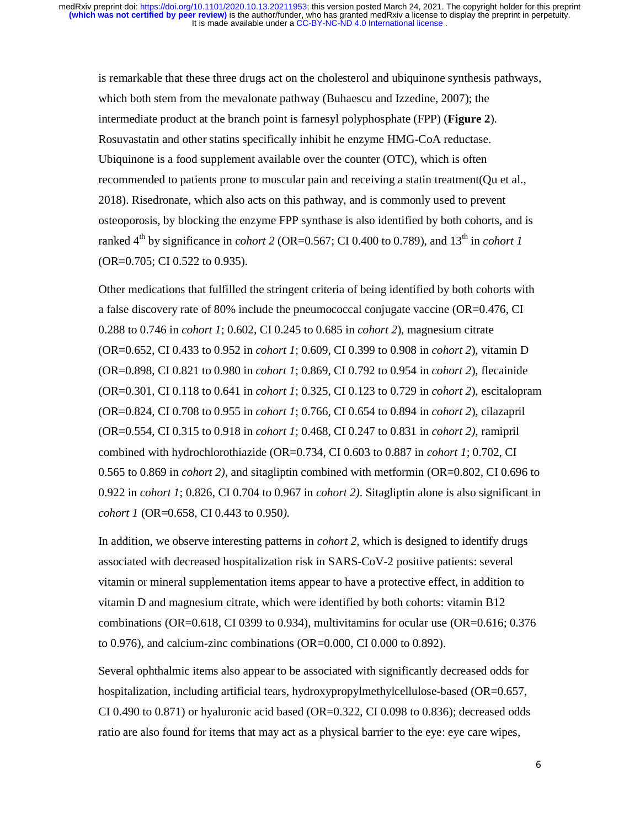is remarkable that these three drugs act on the cholesterol and ubiquinone synthesis pathways, which both stem from the mevalonate pathway (Buhaescu and Izzedine, 2007); the intermediate product at the branch point is farnesyl polyphosphate (FPP) (**Figure 2**). Rosuvastatin and other statins specifically inhibit he enzyme HMG-CoA reductase. Ubiquinone is a food supplement available over the counter (OTC), which is often recommended to patients prone to muscular pain and receiving a statin treatment(Qu et al., 2018). Risedronate, which also acts on this pathway, and is commonly used to prevent osteoporosis, by blocking the enzyme FPP synthase is also identified by both cohorts, and is ranked  $4^{th}$  by significance in *cohort 2* (OR=0.567; CI 0.400 to 0.789), and  $13^{th}$  in *cohort 1* (OR=0.705; CI 0.522 to 0.935).

Other medications that fulfilled the stringent criteria of being identified by both cohorts with a false discovery rate of 80% include the pneumococcal conjugate vaccine (OR=0.476, CI 0.288 to 0.746 in *cohort 1*; 0.602, CI 0.245 to 0.685 in *cohort 2*), magnesium citrate (OR=0.652, CI 0.433 to 0.952 in *cohort 1*; 0.609, CI 0.399 to 0.908 in *cohort 2*), vitamin D (OR=0.898, CI 0.821 to 0.980 in *cohort 1*; 0.869, CI 0.792 to 0.954 in *cohort 2*), flecainide (OR=0.301, CI 0.118 to 0.641 in *cohort 1*; 0.325, CI 0.123 to 0.729 in *cohort 2*), escitalopram (OR=0.824, CI 0.708 to 0.955 in *cohort 1*; 0.766, CI 0.654 to 0.894 in *cohort 2*), cilazapril (OR=0.554, CI 0.315 to 0.918 in *cohort 1*; 0.468, CI 0.247 to 0.831 in *cohort 2)*, ramipril combined with hydrochlorothiazide (OR=0.734, CI 0.603 to 0.887 in *cohort 1*; 0.702, CI 0.565 to 0.869 in *cohort 2)*, and sitagliptin combined with metformin (OR=0.802, CI 0.696 to 0.922 in *cohort 1*; 0.826, CI 0.704 to 0.967 in *cohort 2)*. Sitagliptin alone is also significant in *cohort 1* (OR=0.658, CI 0.443 to 0.950*).*

In addition, we observe interesting patterns in *cohort 2,* which is designed to identify drugs associated with decreased hospitalization risk in SARS-CoV-2 positive patients: several vitamin or mineral supplementation items appear to have a protective effect, in addition to vitamin D and magnesium citrate, which were identified by both cohorts: vitamin B12 combinations (OR=0.618, CI 0399 to 0.934), multivitamins for ocular use (OR=0.616; 0.376 to 0.976), and calcium-zinc combinations (OR=0.000, CI 0.000 to 0.892).

Several ophthalmic items also appear to be associated with significantly decreased odds for hospitalization, including artificial tears, hydroxypropylmethylcellulose-based (OR=0.657, CI 0.490 to 0.871) or hyaluronic acid based (OR=0.322, CI 0.098 to 0.836); decreased odds ratio are also found for items that may act as a physical barrier to the eye: eye care wipes,

6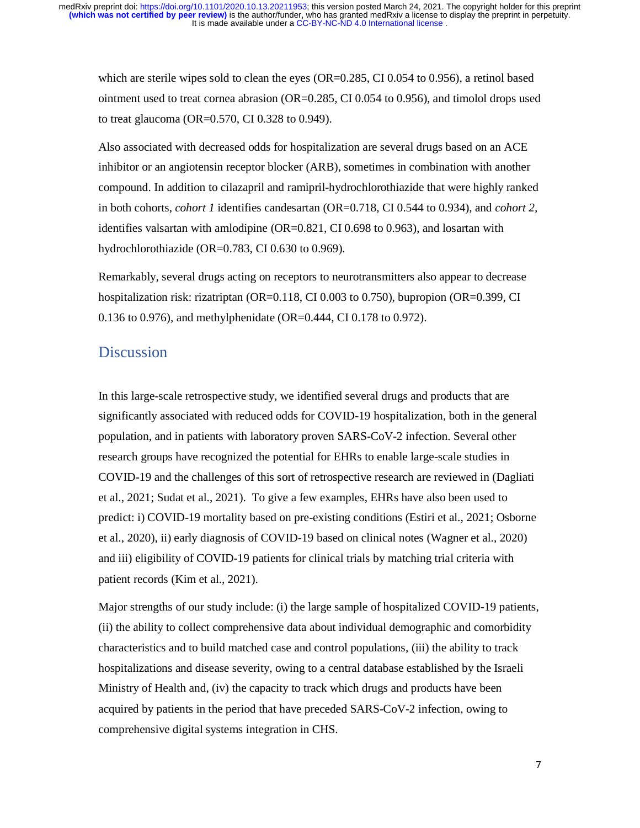which are sterile wipes sold to clean the eyes (OR=0.285, CI 0.054 to 0.956), a retinol based ointment used to treat cornea abrasion (OR=0.285, CI 0.054 to 0.956), and timolol drops used to treat glaucoma (OR=0.570, CI 0.328 to 0.949).

Also associated with decreased odds for hospitalization are several drugs based on an ACE inhibitor or an angiotensin receptor blocker (ARB), sometimes in combination with another compound. In addition to cilazapril and ramipril-hydrochlorothiazide that were highly ranked in both cohorts, *cohort 1* identifies candesartan (OR=0.718, CI 0.544 to 0.934), and *cohort 2,* identifies valsartan with amlodipine (OR=0.821, CI 0.698 to 0.963), and losartan with hydrochlorothiazide (OR=0.783, CI 0.630 to 0.969).

Remarkably, several drugs acting on receptors to neurotransmitters also appear to decrease hospitalization risk: rizatriptan (OR=0.118, CI 0.003 to 0.750), bupropion (OR=0.399, CI 0.136 to 0.976), and methylphenidate (OR=0.444, CI 0.178 to 0.972).

# **Discussion**

In this large-scale retrospective study, we identified several drugs and products that are significantly associated with reduced odds for COVID-19 hospitalization, both in the general population, and in patients with laboratory proven SARS-CoV-2 infection. Several other research groups have recognized the potential for EHRs to enable large-scale studies in COVID-19 and the challenges of this sort of retrospective research are reviewed in (Dagliati et al., 2021; Sudat et al., 2021). To give a few examples, EHRs have also been used to predict: i) COVID-19 mortality based on pre-existing conditions (Estiri et al., 2021; Osborne et al., 2020), ii) early diagnosis of COVID-19 based on clinical notes (Wagner et al., 2020) and iii) eligibility of COVID-19 patients for clinical trials by matching trial criteria with patient records (Kim et al., 2021).

Major strengths of our study include: (i) the large sample of hospitalized COVID-19 patients, (ii) the ability to collect comprehensive data about individual demographic and comorbidity characteristics and to build matched case and control populations, (iii) the ability to track hospitalizations and disease severity, owing to a central database established by the Israeli Ministry of Health and, (iv) the capacity to track which drugs and products have been acquired by patients in the period that have preceded SARS-CoV-2 infection, owing to comprehensive digital systems integration in CHS.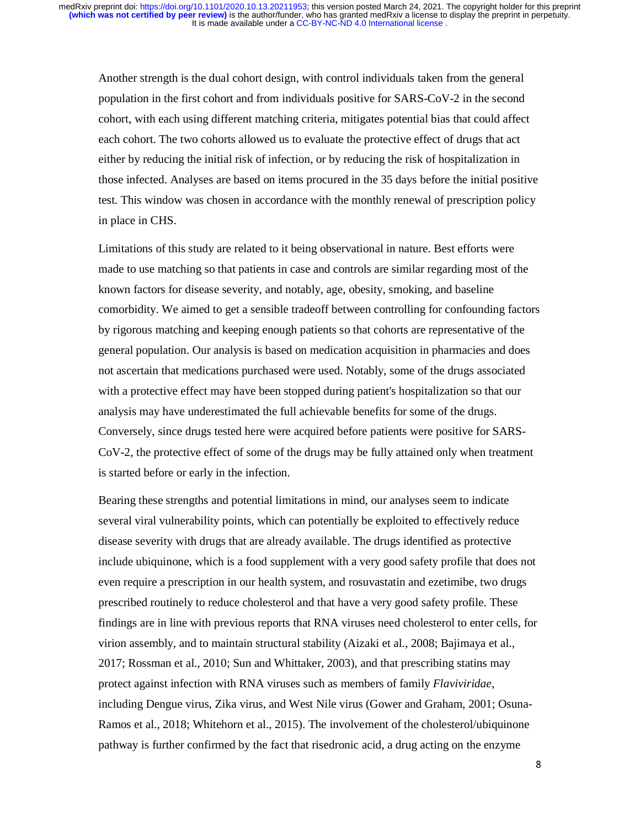Another strength is the dual cohort design, with control individuals taken from the general population in the first cohort and from individuals positive for SARS-CoV-2 in the second cohort, with each using different matching criteria, mitigates potential bias that could affect each cohort. The two cohorts allowed us to evaluate the protective effect of drugs that act either by reducing the initial risk of infection, or by reducing the risk of hospitalization in those infected. Analyses are based on items procured in the 35 days before the initial positive test. This window was chosen in accordance with the monthly renewal of prescription policy in place in CHS.

Limitations of this study are related to it being observational in nature. Best efforts were made to use matching so that patients in case and controls are similar regarding most of the known factors for disease severity, and notably, age, obesity, smoking, and baseline comorbidity. We aimed to get a sensible tradeoff between controlling for confounding factors by rigorous matching and keeping enough patients so that cohorts are representative of the general population. Our analysis is based on medication acquisition in pharmacies and does not ascertain that medications purchased were used. Notably, some of the drugs associated with a protective effect may have been stopped during patient's hospitalization so that our analysis may have underestimated the full achievable benefits for some of the drugs. Conversely, since drugs tested here were acquired before patients were positive for SARS-CoV-2, the protective effect of some of the drugs may be fully attained only when treatment is started before or early in the infection.

Bearing these strengths and potential limitations in mind, our analyses seem to indicate several viral vulnerability points, which can potentially be exploited to effectively reduce disease severity with drugs that are already available. The drugs identified as protective include ubiquinone, which is a food supplement with a very good safety profile that does not even require a prescription in our health system, and rosuvastatin and ezetimibe, two drugs prescribed routinely to reduce cholesterol and that have a very good safety profile. These findings are in line with previous reports that RNA viruses need cholesterol to enter cells, for virion assembly, and to maintain structural stability (Aizaki et al., 2008; Bajimaya et al., 2017; Rossman et al., 2010; Sun and Whittaker, 2003), and that prescribing statins may protect against infection with RNA viruses such as members of family *Flaviviridae*, including Dengue virus, Zika virus, and West Nile virus (Gower and Graham, 2001; Osuna-Ramos et al., 2018; Whitehorn et al., 2015). The involvement of the cholesterol/ubiquinone pathway is further confirmed by the fact that risedronic acid, a drug acting on the enzyme

8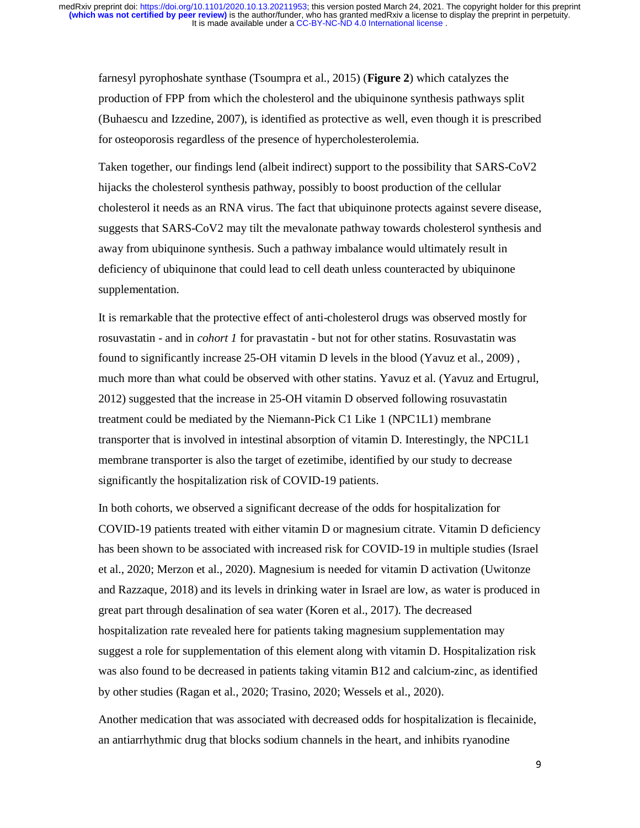farnesyl pyrophoshate synthase (Tsoumpra et al., 2015) (**Figure 2**) which catalyzes the production of FPP from which the cholesterol and the ubiquinone synthesis pathways split (Buhaescu and Izzedine, 2007), is identified as protective as well, even though it is prescribed for osteoporosis regardless of the presence of hypercholesterolemia.

Taken together, our findings lend (albeit indirect) support to the possibility that SARS-CoV2 hijacks the cholesterol synthesis pathway, possibly to boost production of the cellular cholesterol it needs as an RNA virus. The fact that ubiquinone protects against severe disease, suggests that SARS-CoV2 may tilt the mevalonate pathway towards cholesterol synthesis and away from ubiquinone synthesis. Such a pathway imbalance would ultimately result in deficiency of ubiquinone that could lead to cell death unless counteracted by ubiquinone supplementation.

It is remarkable that the protective effect of anti-cholesterol drugs was observed mostly for rosuvastatin - and in *cohort 1* for pravastatin - but not for other statins. Rosuvastatin was found to significantly increase 25-OH vitamin D levels in the blood (Yavuz et al., 2009) , much more than what could be observed with other statins. Yavuz et al. (Yavuz and Ertugrul, 2012) suggested that the increase in 25-OH vitamin D observed following rosuvastatin treatment could be mediated by the Niemann-Pick C1 Like 1 (NPC1L1) membrane transporter that is involved in intestinal absorption of vitamin D. Interestingly, the NPC1L1 membrane transporter is also the target of ezetimibe, identified by our study to decrease significantly the hospitalization risk of COVID-19 patients.

In both cohorts, we observed a significant decrease of the odds for hospitalization for COVID-19 patients treated with either vitamin D or magnesium citrate. Vitamin D deficiency has been shown to be associated with increased risk for COVID-19 in multiple studies (Israel et al., 2020; Merzon et al., 2020). Magnesium is needed for vitamin D activation (Uwitonze and Razzaque, 2018) and its levels in drinking water in Israel are low, as water is produced in great part through desalination of sea water (Koren et al., 2017). The decreased hospitalization rate revealed here for patients taking magnesium supplementation may suggest a role for supplementation of this element along with vitamin D. Hospitalization risk was also found to be decreased in patients taking vitamin B12 and calcium-zinc, as identified by other studies (Ragan et al., 2020; Trasino, 2020; Wessels et al., 2020).

Another medication that was associated with decreased odds for hospitalization is flecainide, an antiarrhythmic drug that blocks sodium channels in the heart, and inhibits ryanodine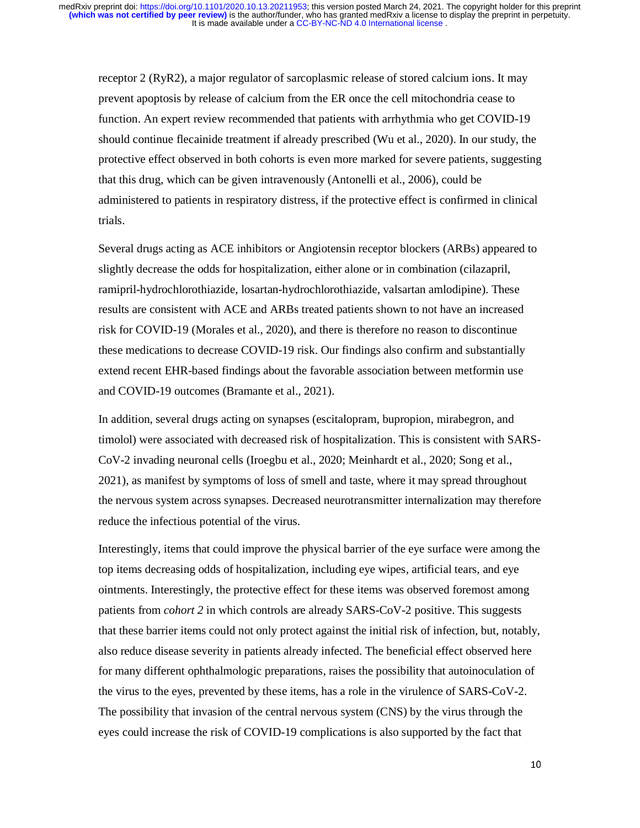receptor 2 (RyR2), a major regulator of sarcoplasmic release of stored calcium ions. It may prevent apoptosis by release of calcium from the ER once the cell mitochondria cease to function. An expert review recommended that patients with arrhythmia who get COVID-19 should continue flecainide treatment if already prescribed (Wu et al., 2020). In our study, the protective effect observed in both cohorts is even more marked for severe patients, suggesting that this drug, which can be given intravenously (Antonelli et al., 2006), could be administered to patients in respiratory distress, if the protective effect is confirmed in clinical trials.

Several drugs acting as ACE inhibitors or Angiotensin receptor blockers (ARBs) appeared to slightly decrease the odds for hospitalization, either alone or in combination (cilazapril, ramipril-hydrochlorothiazide, losartan-hydrochlorothiazide, valsartan amlodipine). These results are consistent with ACE and ARBs treated patients shown to not have an increased risk for COVID-19 (Morales et al., 2020), and there is therefore no reason to discontinue these medications to decrease COVID-19 risk. Our findings also confirm and substantially extend recent EHR-based findings about the favorable association between metformin use and COVID-19 outcomes (Bramante et al., 2021).

In addition, several drugs acting on synapses (escitalopram, bupropion, mirabegron, and timolol) were associated with decreased risk of hospitalization. This is consistent with SARS-CoV-2 invading neuronal cells (Iroegbu et al., 2020; Meinhardt et al., 2020; Song et al., 2021), as manifest by symptoms of loss of smell and taste, where it may spread throughout the nervous system across synapses. Decreased neurotransmitter internalization may therefore reduce the infectious potential of the virus.

Interestingly, items that could improve the physical barrier of the eye surface were among the top items decreasing odds of hospitalization, including eye wipes, artificial tears, and eye ointments. Interestingly, the protective effect for these items was observed foremost among patients from *cohort 2* in which controls are already SARS-CoV-2 positive. This suggests that these barrier items could not only protect against the initial risk of infection, but, notably, also reduce disease severity in patients already infected. The beneficial effect observed here for many different ophthalmologic preparations, raises the possibility that autoinoculation of the virus to the eyes, prevented by these items, has a role in the virulence of SARS-CoV-2. The possibility that invasion of the central nervous system (CNS) by the virus through the eyes could increase the risk of COVID-19 complications is also supported by the fact that

10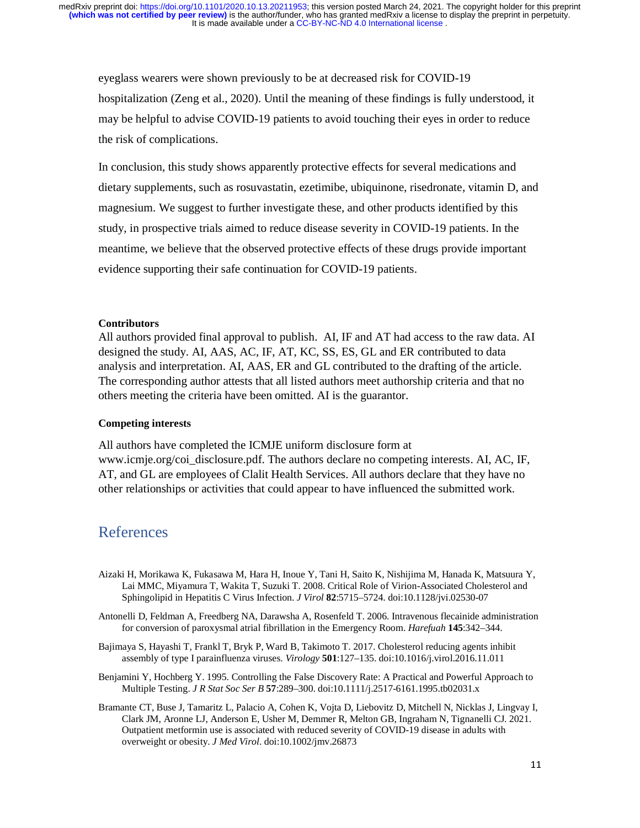eyeglass wearers were shown previously to be at decreased risk for COVID-19 hospitalization (Zeng et al., 2020). Until the meaning of these findings is fully understood, it may be helpful to advise COVID-19 patients to avoid touching their eyes in order to reduce the risk of complications.

In conclusion, this study shows apparently protective effects for several medications and dietary supplements, such as rosuvastatin, ezetimibe, ubiquinone, risedronate, vitamin D, and magnesium. We suggest to further investigate these, and other products identified by this study, in prospective trials aimed to reduce disease severity in COVID-19 patients. In the meantime, we believe that the observed protective effects of these drugs provide important evidence supporting their safe continuation for COVID-19 patients.

### **Contributors**

All authors provided final approval to publish. AI, IF and AT had access to the raw data. AI designed the study. AI, AAS, AC, IF, AT, KC, SS, ES, GL and ER contributed to data analysis and interpretation. AI, AAS, ER and GL contributed to the drafting of the article. The corresponding author attests that all listed authors meet authorship criteria and that no others meeting the criteria have been omitted. AI is the guarantor.

#### **Competing interests**

All authors have completed the ICMJE uniform disclosure form at www.icmje.org/coi\_disclosure.pdf. The authors declare no competing interests. AI, AC, IF, AT, and GL are employees of Clalit Health Services. All authors declare that they have no other relationships or activities that could appear to have influenced the submitted work.

# References

- Aizaki H, Morikawa K, Fukasawa M, Hara H, Inoue Y, Tani H, Saito K, Nishijima M, Hanada K, Matsuura Y, Lai MMC, Miyamura T, Wakita T, Suzuki T. 2008. Critical Role of Virion-Associated Cholesterol and Sphingolipid in Hepatitis C Virus Infection. *J Virol* **82**:5715–5724. doi:10.1128/jvi.02530-07
- Antonelli D, Feldman A, Freedberg NA, Darawsha A, Rosenfeld T. 2006. Intravenous flecainide administration for conversion of paroxysmal atrial fibrillation in the Emergency Room. *Harefuah* **145**:342–344.
- Bajimaya S, Hayashi T, Frankl T, Bryk P, Ward B, Takimoto T. 2017. Cholesterol reducing agents inhibit assembly of type I parainfluenza viruses. *Virology* **501**:127–135. doi:10.1016/j.virol.2016.11.011
- Benjamini Y, Hochberg Y. 1995. Controlling the False Discovery Rate: A Practical and Powerful Approach to Multiple Testing. *J R Stat Soc Ser B* **57**:289–300. doi:10.1111/j.2517-6161.1995.tb02031.x
- Bramante CT, Buse J, Tamaritz L, Palacio A, Cohen K, Vojta D, Liebovitz D, Mitchell N, Nicklas J, Lingvay I, Clark JM, Aronne LJ, Anderson E, Usher M, Demmer R, Melton GB, Ingraham N, Tignanelli CJ. 2021. Outpatient metformin use is associated with reduced severity of COVID-19 disease in adults with overweight or obesity. *J Med Virol*. doi:10.1002/jmv.26873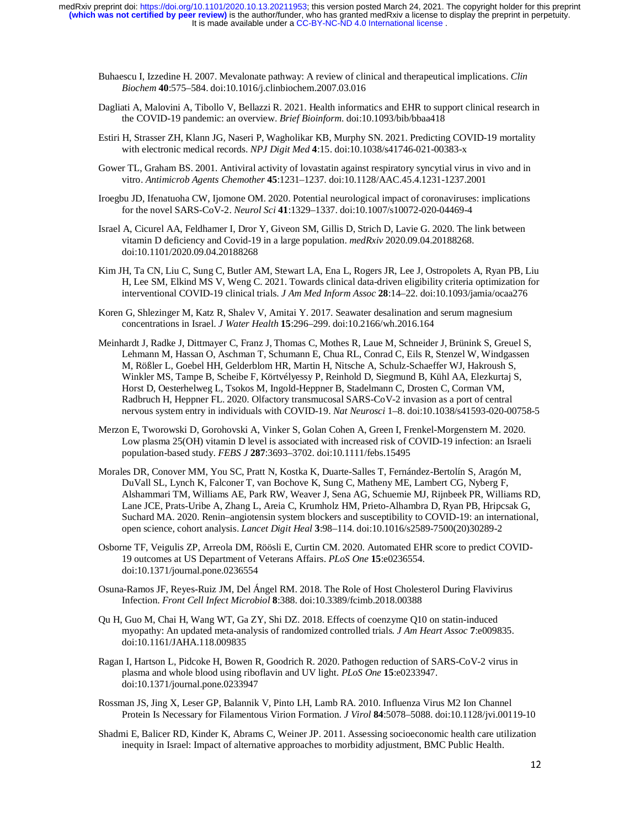It is made available under a [CC-BY-NC-ND 4.0 International license](http://creativecommons.org/licenses/by-nc-nd/4.0/) . **(which was not certified by peer review)** is the author/funder, who has granted medRxiv a license to display the preprint in perpetuity. medRxiv preprint doi: [https://doi.org/10.1101/2020.10.13.20211953;](https://doi.org/10.1101/2020.10.13.20211953) this version posted March 24, 2021. The copyright holder for this preprint

- Buhaescu I, Izzedine H. 2007. Mevalonate pathway: A review of clinical and therapeutical implications. *Clin Biochem* **40**:575–584. doi:10.1016/j.clinbiochem.2007.03.016
- Dagliati A, Malovini A, Tibollo V, Bellazzi R. 2021. Health informatics and EHR to support clinical research in the COVID-19 pandemic: an overview. *Brief Bioinform*. doi:10.1093/bib/bbaa418
- Estiri H, Strasser ZH, Klann JG, Naseri P, Wagholikar KB, Murphy SN. 2021. Predicting COVID-19 mortality with electronic medical records. *NPJ Digit Med* **4**:15. doi:10.1038/s41746-021-00383-x
- Gower TL, Graham BS. 2001. Antiviral activity of lovastatin against respiratory syncytial virus in vivo and in vitro. *Antimicrob Agents Chemother* **45**:1231–1237. doi:10.1128/AAC.45.4.1231-1237.2001
- Iroegbu JD, Ifenatuoha CW, Ijomone OM. 2020. Potential neurological impact of coronaviruses: implications for the novel SARS-CoV-2. *Neurol Sci* **41**:1329–1337. doi:10.1007/s10072-020-04469-4
- Israel A, Cicurel AA, Feldhamer I, Dror Y, Giveon SM, Gillis D, Strich D, Lavie G. 2020. The link between vitamin D deficiency and Covid-19 in a large population. *medRxiv* 2020.09.04.20188268. doi:10.1101/2020.09.04.20188268
- Kim JH, Ta CN, Liu C, Sung C, Butler AM, Stewart LA, Ena L, Rogers JR, Lee J, Ostropolets A, Ryan PB, Liu H, Lee SM, Elkind MS V, Weng C. 2021. Towards clinical data-driven eligibility criteria optimization for interventional COVID-19 clinical trials. *J Am Med Inform Assoc* **28**:14–22. doi:10.1093/jamia/ocaa276
- Koren G, Shlezinger M, Katz R, Shalev V, Amitai Y. 2017. Seawater desalination and serum magnesium concentrations in Israel. *J Water Health* **15**:296–299. doi:10.2166/wh.2016.164
- Meinhardt J, Radke J, Dittmayer C, Franz J, Thomas C, Mothes R, Laue M, Schneider J, Brünink S, Greuel S, Lehmann M, Hassan O, Aschman T, Schumann E, Chua RL, Conrad C, Eils R, Stenzel W, Windgassen M, Rößler L, Goebel HH, Gelderblom HR, Martin H, Nitsche A, Schulz-Schaeffer WJ, Hakroush S, Winkler MS, Tampe B, Scheibe F, Körtvélyessy P, Reinhold D, Siegmund B, Kühl AA, Elezkurtaj S, Horst D, Oesterhelweg L, Tsokos M, Ingold-Heppner B, Stadelmann C, Drosten C, Corman VM, Radbruch H, Heppner FL. 2020. Olfactory transmucosal SARS-CoV-2 invasion as a port of central nervous system entry in individuals with COVID-19. *Nat Neurosci* 1–8. doi:10.1038/s41593-020-00758-5
- Merzon E, Tworowski D, Gorohovski A, Vinker S, Golan Cohen A, Green I, Frenkel-Morgenstern M. 2020. Low plasma 25(OH) vitamin D level is associated with increased risk of COVID-19 infection: an Israeli population-based study. *FEBS J* **287**:3693–3702. doi:10.1111/febs.15495
- Morales DR, Conover MM, You SC, Pratt N, Kostka K, Duarte-Salles T, Fernández-Bertolín S, Aragón M, DuVall SL, Lynch K, Falconer T, van Bochove K, Sung C, Matheny ME, Lambert CG, Nyberg F, Alshammari TM, Williams AE, Park RW, Weaver J, Sena AG, Schuemie MJ, Rijnbeek PR, Williams RD, Lane JCE, Prats-Uribe A, Zhang L, Areia C, Krumholz HM, Prieto-Alhambra D, Ryan PB, Hripcsak G, Suchard MA. 2020. Renin–angiotensin system blockers and susceptibility to COVID-19: an international, open science, cohort analysis. *Lancet Digit Heal* **3**:98–114. doi:10.1016/s2589-7500(20)30289-2
- Osborne TF, Veigulis ZP, Arreola DM, Röösli E, Curtin CM. 2020. Automated EHR score to predict COVID-19 outcomes at US Department of Veterans Affairs. *PLoS One* **15**:e0236554. doi:10.1371/journal.pone.0236554
- Osuna-Ramos JF, Reyes-Ruiz JM, Del Ángel RM. 2018. The Role of Host Cholesterol During Flavivirus Infection. *Front Cell Infect Microbiol* **8**:388. doi:10.3389/fcimb.2018.00388
- Qu H, Guo M, Chai H, Wang WT, Ga ZY, Shi DZ. 2018. Effects of coenzyme Q10 on statin-induced myopathy: An updated meta-analysis of randomized controlled trials. *J Am Heart Assoc* **7**:e009835. doi:10.1161/JAHA.118.009835
- Ragan I, Hartson L, Pidcoke H, Bowen R, Goodrich R. 2020. Pathogen reduction of SARS-CoV-2 virus in plasma and whole blood using riboflavin and UV light. *PLoS One* **15**:e0233947. doi:10.1371/journal.pone.0233947
- Rossman JS, Jing X, Leser GP, Balannik V, Pinto LH, Lamb RA. 2010. Influenza Virus M2 Ion Channel Protein Is Necessary for Filamentous Virion Formation. *J Virol* **84**:5078–5088. doi:10.1128/jvi.00119-10
- Shadmi E, Balicer RD, Kinder K, Abrams C, Weiner JP. 2011. Assessing socioeconomic health care utilization inequity in Israel: Impact of alternative approaches to morbidity adjustment, BMC Public Health.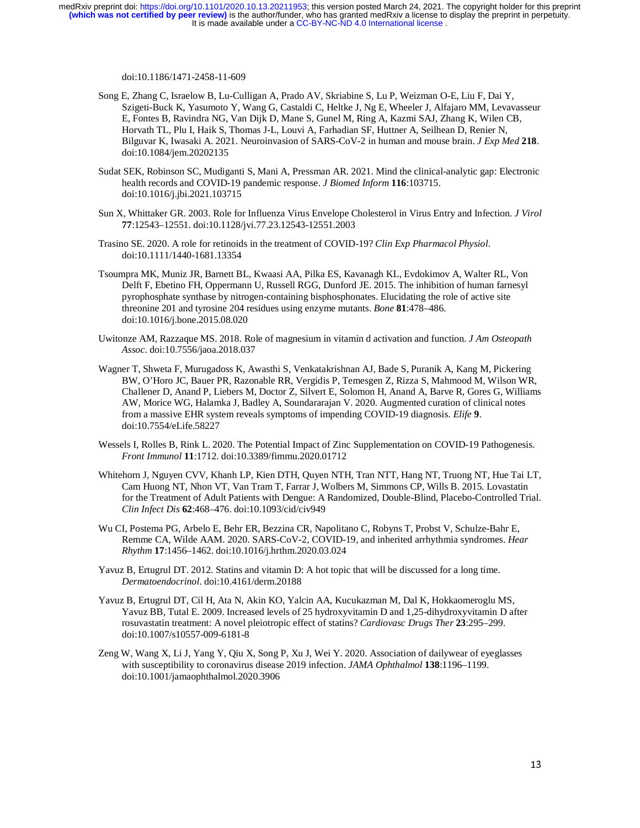It is made available under a [CC-BY-NC-ND 4.0 International license](http://creativecommons.org/licenses/by-nc-nd/4.0/) . **(which was not certified by peer review)** is the author/funder, who has granted medRxiv a license to display the preprint in perpetuity. medRxiv preprint doi: [https://doi.org/10.1101/2020.10.13.20211953;](https://doi.org/10.1101/2020.10.13.20211953) this version posted March 24, 2021. The copyright holder for this preprint

doi:10.1186/1471-2458-11-609

- Song E, Zhang C, Israelow B, Lu-Culligan A, Prado AV, Skriabine S, Lu P, Weizman O-E, Liu F, Dai Y, Szigeti-Buck K, Yasumoto Y, Wang G, Castaldi C, Heltke J, Ng E, Wheeler J, Alfajaro MM, Levavasseur E, Fontes B, Ravindra NG, Van Dijk D, Mane S, Gunel M, Ring A, Kazmi SAJ, Zhang K, Wilen CB, Horvath TL, Plu I, Haik S, Thomas J-L, Louvi A, Farhadian SF, Huttner A, Seilhean D, Renier N, Bilguvar K, Iwasaki A. 2021. Neuroinvasion of SARS-CoV-2 in human and mouse brain. *J Exp Med* **218**. doi:10.1084/jem.20202135
- Sudat SEK, Robinson SC, Mudiganti S, Mani A, Pressman AR. 2021. Mind the clinical-analytic gap: Electronic health records and COVID-19 pandemic response. *J Biomed Inform* **116**:103715. doi:10.1016/j.jbi.2021.103715
- Sun X, Whittaker GR. 2003. Role for Influenza Virus Envelope Cholesterol in Virus Entry and Infection. *J Virol* **77**:12543–12551. doi:10.1128/jvi.77.23.12543-12551.2003
- Trasino SE. 2020. A role for retinoids in the treatment of COVID-19? *Clin Exp Pharmacol Physiol*. doi:10.1111/1440-1681.13354
- Tsoumpra MK, Muniz JR, Barnett BL, Kwaasi AA, Pilka ES, Kavanagh KL, Evdokimov A, Walter RL, Von Delft F, Ebetino FH, Oppermann U, Russell RGG, Dunford JE. 2015. The inhibition of human farnesyl pyrophosphate synthase by nitrogen-containing bisphosphonates. Elucidating the role of active site threonine 201 and tyrosine 204 residues using enzyme mutants. *Bone* **81**:478–486. doi:10.1016/j.bone.2015.08.020
- Uwitonze AM, Razzaque MS. 2018. Role of magnesium in vitamin d activation and function. *J Am Osteopath Assoc*. doi:10.7556/jaoa.2018.037
- Wagner T, Shweta F, Murugadoss K, Awasthi S, Venkatakrishnan AJ, Bade S, Puranik A, Kang M, Pickering BW, O'Horo JC, Bauer PR, Razonable RR, Vergidis P, Temesgen Z, Rizza S, Mahmood M, Wilson WR, Challener D, Anand P, Liebers M, Doctor Z, Silvert E, Solomon H, Anand A, Barve R, Gores G, Williams AW, Morice WG, Halamka J, Badley A, Soundararajan V. 2020. Augmented curation of clinical notes from a massive EHR system reveals symptoms of impending COVID-19 diagnosis. *Elife* **9**. doi:10.7554/eLife.58227
- Wessels I, Rolles B, Rink L. 2020. The Potential Impact of Zinc Supplementation on COVID-19 Pathogenesis. *Front Immunol* **11**:1712. doi:10.3389/fimmu.2020.01712
- Whitehorn J, Nguyen CVV, Khanh LP, Kien DTH, Quyen NTH, Tran NTT, Hang NT, Truong NT, Hue Tai LT, Cam Huong NT, Nhon VT, Van Tram T, Farrar J, Wolbers M, Simmons CP, Wills B. 2015. Lovastatin for the Treatment of Adult Patients with Dengue: A Randomized, Double-Blind, Placebo-Controlled Trial. *Clin Infect Dis* **62**:468–476. doi:10.1093/cid/civ949
- Wu CI, Postema PG, Arbelo E, Behr ER, Bezzina CR, Napolitano C, Robyns T, Probst V, Schulze-Bahr E, Remme CA, Wilde AAM. 2020. SARS-CoV-2, COVID-19, and inherited arrhythmia syndromes. *Hear Rhythm* **17**:1456–1462. doi:10.1016/j.hrthm.2020.03.024
- Yavuz B, Ertugrul DT. 2012. Statins and vitamin D: A hot topic that will be discussed for a long time. *Dermatoendocrinol*. doi:10.4161/derm.20188
- Yavuz B, Ertugrul DT, Cil H, Ata N, Akin KO, Yalcin AA, Kucukazman M, Dal K, Hokkaomeroglu MS, Yavuz BB, Tutal E. 2009. Increased levels of 25 hydroxyvitamin D and 1,25-dihydroxyvitamin D after rosuvastatin treatment: A novel pleiotropic effect of statins? *Cardiovasc Drugs Ther* **23**:295–299. doi:10.1007/s10557-009-6181-8
- Zeng W, Wang X, Li J, Yang Y, Qiu X, Song P, Xu J, Wei Y. 2020. Association of dailywear of eyeglasses with susceptibility to coronavirus disease 2019 infection. *JAMA Ophthalmol* **138**:1196–1199. doi:10.1001/jamaophthalmol.2020.3906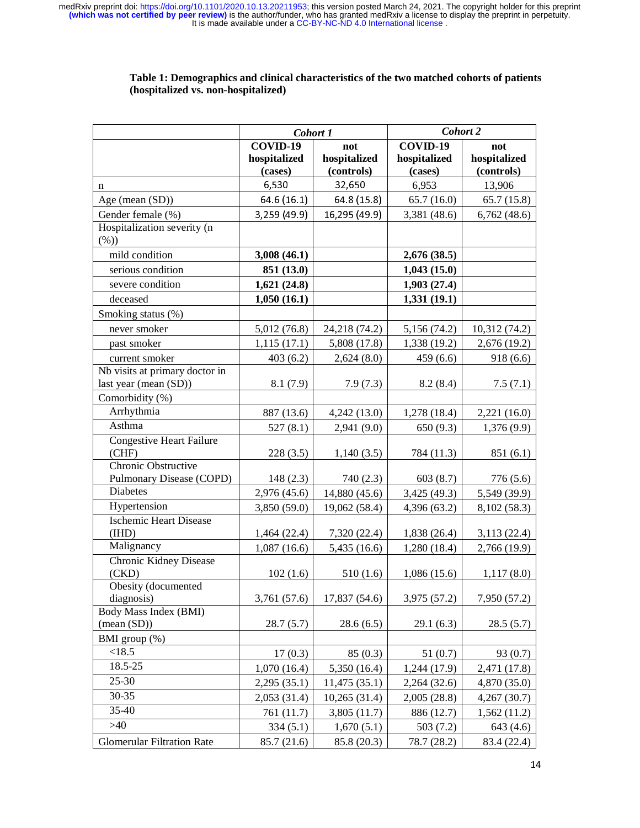| COVID-19<br>COVID-19<br>not<br>not<br>hospitalized<br>hospitalized<br>hospitalized<br>hospitalized<br>(controls)<br>(controls)<br>(cases)<br>(cases)<br>6,530<br>32,650<br>6,953<br>13,906<br>n<br>Age (mean (SD))<br>64.6 (16.1)<br>64.8(15.8)<br>65.7(16.0)<br>65.7(15.8)<br>Gender female (%)<br>16,295 (49.9)<br>3,381 (48.6)<br>6,762(48.6)<br>3,259 (49.9)<br>Hospitalization severity (n<br>$(\%)$<br>mild condition<br>3,008(46.1)<br>2,676 (38.5)<br>serious condition<br>851 (13.0)<br>1,043(15.0)<br>severe condition<br>1,621(24.8)<br>1,903(27.4)<br>deceased<br>1,331(19.1)<br>1,050(16.1)<br>Smoking status (%)<br>never smoker<br>5,012 (76.8)<br>24,218 (74.2)<br>5,156 (74.2)<br>10,312(74.2)<br>past smoker<br>1,115(17.1)<br>5,808 (17.8)<br>1,338 (19.2)<br>2,676 (19.2)<br>current smoker<br>403(6.2)<br>2,624(8.0)<br>459(6.6)<br>918(6.6)<br>Nb visits at primary doctor in<br>last year (mean (SD))<br>8.1(7.9)<br>7.9(7.3)<br>8.2(8.4)<br>7.5(7.1)<br>Comorbidity (%)<br>Arrhythmia<br>887 (13.6)<br>4,242(13.0)<br>1,278(18.4)<br>2,221(16.0)<br>Asthma<br>527(8.1)<br>2,941 (9.0)<br>650(9.3)<br>1,376(9.9)<br><b>Congestive Heart Failure</b><br>(CHF)<br>784 (11.3)<br>228(3.5)<br>1,140(3.5)<br>851 (6.1)<br>Chronic Obstructive<br><b>Pulmonary Disease (COPD)</b><br>603(8.7)<br>148(2.3)<br>740 (2.3)<br>776 (5.6)<br><b>Diabetes</b><br>2,976 (45.6)<br>14,880 (45.6)<br>3,425 (49.3)<br>5,549 (39.9)<br>Hypertension<br>3,850 (59.0)<br>19,062 (58.4)<br>4,396 (63.2)<br>8,102 (58.3)<br><b>Ischemic Heart Disease</b><br>(HID)<br>7,320 (22.4)<br>1,464 (22.4)<br>1,838 (26.4)<br>3,113(22.4)<br>Malignancy<br>1,087(16.6)<br>5,435 (16.6)<br>1,280 (18.4)<br>2,766 (19.9)<br>Chronic Kidney Disease<br>(CKD)<br>102(1.6)<br>510(1.6)<br>1,086(15.6)<br>1,117(8.0)<br>Obesity (documented<br>diagnosis)<br>7,950 (57.2)<br>3,761 (57.6)<br>17,837 (54.6)<br>3,975 (57.2)<br>Body Mass Index (BMI)<br>$(\text{mean } (SD))$<br>28.7(5.7)<br>28.6(6.5)<br>29.1(6.3)<br>28.5(5.7)<br>BMI group (%)<br><18.5<br>17(0.3)<br>85(0.3)<br>51(0.7)<br>93(0.7) | Cohort 1 | Cohort 2 |  |  |  |
|-------------------------------------------------------------------------------------------------------------------------------------------------------------------------------------------------------------------------------------------------------------------------------------------------------------------------------------------------------------------------------------------------------------------------------------------------------------------------------------------------------------------------------------------------------------------------------------------------------------------------------------------------------------------------------------------------------------------------------------------------------------------------------------------------------------------------------------------------------------------------------------------------------------------------------------------------------------------------------------------------------------------------------------------------------------------------------------------------------------------------------------------------------------------------------------------------------------------------------------------------------------------------------------------------------------------------------------------------------------------------------------------------------------------------------------------------------------------------------------------------------------------------------------------------------------------------------------------------------------------------------------------------------------------------------------------------------------------------------------------------------------------------------------------------------------------------------------------------------------------------------------------------------------------------------------------------------------------------------------------------------------------------------------------------------------------------------------------|----------|----------|--|--|--|
|                                                                                                                                                                                                                                                                                                                                                                                                                                                                                                                                                                                                                                                                                                                                                                                                                                                                                                                                                                                                                                                                                                                                                                                                                                                                                                                                                                                                                                                                                                                                                                                                                                                                                                                                                                                                                                                                                                                                                                                                                                                                                           |          |          |  |  |  |
|                                                                                                                                                                                                                                                                                                                                                                                                                                                                                                                                                                                                                                                                                                                                                                                                                                                                                                                                                                                                                                                                                                                                                                                                                                                                                                                                                                                                                                                                                                                                                                                                                                                                                                                                                                                                                                                                                                                                                                                                                                                                                           |          |          |  |  |  |
|                                                                                                                                                                                                                                                                                                                                                                                                                                                                                                                                                                                                                                                                                                                                                                                                                                                                                                                                                                                                                                                                                                                                                                                                                                                                                                                                                                                                                                                                                                                                                                                                                                                                                                                                                                                                                                                                                                                                                                                                                                                                                           |          |          |  |  |  |
|                                                                                                                                                                                                                                                                                                                                                                                                                                                                                                                                                                                                                                                                                                                                                                                                                                                                                                                                                                                                                                                                                                                                                                                                                                                                                                                                                                                                                                                                                                                                                                                                                                                                                                                                                                                                                                                                                                                                                                                                                                                                                           |          |          |  |  |  |
|                                                                                                                                                                                                                                                                                                                                                                                                                                                                                                                                                                                                                                                                                                                                                                                                                                                                                                                                                                                                                                                                                                                                                                                                                                                                                                                                                                                                                                                                                                                                                                                                                                                                                                                                                                                                                                                                                                                                                                                                                                                                                           |          |          |  |  |  |
|                                                                                                                                                                                                                                                                                                                                                                                                                                                                                                                                                                                                                                                                                                                                                                                                                                                                                                                                                                                                                                                                                                                                                                                                                                                                                                                                                                                                                                                                                                                                                                                                                                                                                                                                                                                                                                                                                                                                                                                                                                                                                           |          |          |  |  |  |
|                                                                                                                                                                                                                                                                                                                                                                                                                                                                                                                                                                                                                                                                                                                                                                                                                                                                                                                                                                                                                                                                                                                                                                                                                                                                                                                                                                                                                                                                                                                                                                                                                                                                                                                                                                                                                                                                                                                                                                                                                                                                                           |          |          |  |  |  |
|                                                                                                                                                                                                                                                                                                                                                                                                                                                                                                                                                                                                                                                                                                                                                                                                                                                                                                                                                                                                                                                                                                                                                                                                                                                                                                                                                                                                                                                                                                                                                                                                                                                                                                                                                                                                                                                                                                                                                                                                                                                                                           |          |          |  |  |  |
|                                                                                                                                                                                                                                                                                                                                                                                                                                                                                                                                                                                                                                                                                                                                                                                                                                                                                                                                                                                                                                                                                                                                                                                                                                                                                                                                                                                                                                                                                                                                                                                                                                                                                                                                                                                                                                                                                                                                                                                                                                                                                           |          |          |  |  |  |
|                                                                                                                                                                                                                                                                                                                                                                                                                                                                                                                                                                                                                                                                                                                                                                                                                                                                                                                                                                                                                                                                                                                                                                                                                                                                                                                                                                                                                                                                                                                                                                                                                                                                                                                                                                                                                                                                                                                                                                                                                                                                                           |          |          |  |  |  |
|                                                                                                                                                                                                                                                                                                                                                                                                                                                                                                                                                                                                                                                                                                                                                                                                                                                                                                                                                                                                                                                                                                                                                                                                                                                                                                                                                                                                                                                                                                                                                                                                                                                                                                                                                                                                                                                                                                                                                                                                                                                                                           |          |          |  |  |  |
|                                                                                                                                                                                                                                                                                                                                                                                                                                                                                                                                                                                                                                                                                                                                                                                                                                                                                                                                                                                                                                                                                                                                                                                                                                                                                                                                                                                                                                                                                                                                                                                                                                                                                                                                                                                                                                                                                                                                                                                                                                                                                           |          |          |  |  |  |
|                                                                                                                                                                                                                                                                                                                                                                                                                                                                                                                                                                                                                                                                                                                                                                                                                                                                                                                                                                                                                                                                                                                                                                                                                                                                                                                                                                                                                                                                                                                                                                                                                                                                                                                                                                                                                                                                                                                                                                                                                                                                                           |          |          |  |  |  |
|                                                                                                                                                                                                                                                                                                                                                                                                                                                                                                                                                                                                                                                                                                                                                                                                                                                                                                                                                                                                                                                                                                                                                                                                                                                                                                                                                                                                                                                                                                                                                                                                                                                                                                                                                                                                                                                                                                                                                                                                                                                                                           |          |          |  |  |  |
|                                                                                                                                                                                                                                                                                                                                                                                                                                                                                                                                                                                                                                                                                                                                                                                                                                                                                                                                                                                                                                                                                                                                                                                                                                                                                                                                                                                                                                                                                                                                                                                                                                                                                                                                                                                                                                                                                                                                                                                                                                                                                           |          |          |  |  |  |
|                                                                                                                                                                                                                                                                                                                                                                                                                                                                                                                                                                                                                                                                                                                                                                                                                                                                                                                                                                                                                                                                                                                                                                                                                                                                                                                                                                                                                                                                                                                                                                                                                                                                                                                                                                                                                                                                                                                                                                                                                                                                                           |          |          |  |  |  |
|                                                                                                                                                                                                                                                                                                                                                                                                                                                                                                                                                                                                                                                                                                                                                                                                                                                                                                                                                                                                                                                                                                                                                                                                                                                                                                                                                                                                                                                                                                                                                                                                                                                                                                                                                                                                                                                                                                                                                                                                                                                                                           |          |          |  |  |  |
|                                                                                                                                                                                                                                                                                                                                                                                                                                                                                                                                                                                                                                                                                                                                                                                                                                                                                                                                                                                                                                                                                                                                                                                                                                                                                                                                                                                                                                                                                                                                                                                                                                                                                                                                                                                                                                                                                                                                                                                                                                                                                           |          |          |  |  |  |
|                                                                                                                                                                                                                                                                                                                                                                                                                                                                                                                                                                                                                                                                                                                                                                                                                                                                                                                                                                                                                                                                                                                                                                                                                                                                                                                                                                                                                                                                                                                                                                                                                                                                                                                                                                                                                                                                                                                                                                                                                                                                                           |          |          |  |  |  |
|                                                                                                                                                                                                                                                                                                                                                                                                                                                                                                                                                                                                                                                                                                                                                                                                                                                                                                                                                                                                                                                                                                                                                                                                                                                                                                                                                                                                                                                                                                                                                                                                                                                                                                                                                                                                                                                                                                                                                                                                                                                                                           |          |          |  |  |  |
|                                                                                                                                                                                                                                                                                                                                                                                                                                                                                                                                                                                                                                                                                                                                                                                                                                                                                                                                                                                                                                                                                                                                                                                                                                                                                                                                                                                                                                                                                                                                                                                                                                                                                                                                                                                                                                                                                                                                                                                                                                                                                           |          |          |  |  |  |
|                                                                                                                                                                                                                                                                                                                                                                                                                                                                                                                                                                                                                                                                                                                                                                                                                                                                                                                                                                                                                                                                                                                                                                                                                                                                                                                                                                                                                                                                                                                                                                                                                                                                                                                                                                                                                                                                                                                                                                                                                                                                                           |          |          |  |  |  |
|                                                                                                                                                                                                                                                                                                                                                                                                                                                                                                                                                                                                                                                                                                                                                                                                                                                                                                                                                                                                                                                                                                                                                                                                                                                                                                                                                                                                                                                                                                                                                                                                                                                                                                                                                                                                                                                                                                                                                                                                                                                                                           |          |          |  |  |  |
|                                                                                                                                                                                                                                                                                                                                                                                                                                                                                                                                                                                                                                                                                                                                                                                                                                                                                                                                                                                                                                                                                                                                                                                                                                                                                                                                                                                                                                                                                                                                                                                                                                                                                                                                                                                                                                                                                                                                                                                                                                                                                           |          |          |  |  |  |
|                                                                                                                                                                                                                                                                                                                                                                                                                                                                                                                                                                                                                                                                                                                                                                                                                                                                                                                                                                                                                                                                                                                                                                                                                                                                                                                                                                                                                                                                                                                                                                                                                                                                                                                                                                                                                                                                                                                                                                                                                                                                                           |          |          |  |  |  |
|                                                                                                                                                                                                                                                                                                                                                                                                                                                                                                                                                                                                                                                                                                                                                                                                                                                                                                                                                                                                                                                                                                                                                                                                                                                                                                                                                                                                                                                                                                                                                                                                                                                                                                                                                                                                                                                                                                                                                                                                                                                                                           |          |          |  |  |  |
|                                                                                                                                                                                                                                                                                                                                                                                                                                                                                                                                                                                                                                                                                                                                                                                                                                                                                                                                                                                                                                                                                                                                                                                                                                                                                                                                                                                                                                                                                                                                                                                                                                                                                                                                                                                                                                                                                                                                                                                                                                                                                           |          |          |  |  |  |
|                                                                                                                                                                                                                                                                                                                                                                                                                                                                                                                                                                                                                                                                                                                                                                                                                                                                                                                                                                                                                                                                                                                                                                                                                                                                                                                                                                                                                                                                                                                                                                                                                                                                                                                                                                                                                                                                                                                                                                                                                                                                                           |          |          |  |  |  |
|                                                                                                                                                                                                                                                                                                                                                                                                                                                                                                                                                                                                                                                                                                                                                                                                                                                                                                                                                                                                                                                                                                                                                                                                                                                                                                                                                                                                                                                                                                                                                                                                                                                                                                                                                                                                                                                                                                                                                                                                                                                                                           |          |          |  |  |  |
|                                                                                                                                                                                                                                                                                                                                                                                                                                                                                                                                                                                                                                                                                                                                                                                                                                                                                                                                                                                                                                                                                                                                                                                                                                                                                                                                                                                                                                                                                                                                                                                                                                                                                                                                                                                                                                                                                                                                                                                                                                                                                           |          |          |  |  |  |
|                                                                                                                                                                                                                                                                                                                                                                                                                                                                                                                                                                                                                                                                                                                                                                                                                                                                                                                                                                                                                                                                                                                                                                                                                                                                                                                                                                                                                                                                                                                                                                                                                                                                                                                                                                                                                                                                                                                                                                                                                                                                                           |          |          |  |  |  |
|                                                                                                                                                                                                                                                                                                                                                                                                                                                                                                                                                                                                                                                                                                                                                                                                                                                                                                                                                                                                                                                                                                                                                                                                                                                                                                                                                                                                                                                                                                                                                                                                                                                                                                                                                                                                                                                                                                                                                                                                                                                                                           |          |          |  |  |  |
|                                                                                                                                                                                                                                                                                                                                                                                                                                                                                                                                                                                                                                                                                                                                                                                                                                                                                                                                                                                                                                                                                                                                                                                                                                                                                                                                                                                                                                                                                                                                                                                                                                                                                                                                                                                                                                                                                                                                                                                                                                                                                           |          |          |  |  |  |
|                                                                                                                                                                                                                                                                                                                                                                                                                                                                                                                                                                                                                                                                                                                                                                                                                                                                                                                                                                                                                                                                                                                                                                                                                                                                                                                                                                                                                                                                                                                                                                                                                                                                                                                                                                                                                                                                                                                                                                                                                                                                                           |          |          |  |  |  |
|                                                                                                                                                                                                                                                                                                                                                                                                                                                                                                                                                                                                                                                                                                                                                                                                                                                                                                                                                                                                                                                                                                                                                                                                                                                                                                                                                                                                                                                                                                                                                                                                                                                                                                                                                                                                                                                                                                                                                                                                                                                                                           |          |          |  |  |  |
|                                                                                                                                                                                                                                                                                                                                                                                                                                                                                                                                                                                                                                                                                                                                                                                                                                                                                                                                                                                                                                                                                                                                                                                                                                                                                                                                                                                                                                                                                                                                                                                                                                                                                                                                                                                                                                                                                                                                                                                                                                                                                           |          |          |  |  |  |
|                                                                                                                                                                                                                                                                                                                                                                                                                                                                                                                                                                                                                                                                                                                                                                                                                                                                                                                                                                                                                                                                                                                                                                                                                                                                                                                                                                                                                                                                                                                                                                                                                                                                                                                                                                                                                                                                                                                                                                                                                                                                                           |          |          |  |  |  |
| 18.5-25<br>1,070(16.4)<br>5,350 (16.4)<br>1,244 (17.9)<br>2,471 (17.8)                                                                                                                                                                                                                                                                                                                                                                                                                                                                                                                                                                                                                                                                                                                                                                                                                                                                                                                                                                                                                                                                                                                                                                                                                                                                                                                                                                                                                                                                                                                                                                                                                                                                                                                                                                                                                                                                                                                                                                                                                    |          |          |  |  |  |
| 25-30<br>2,295(35.1)<br>11,475(35.1)<br>2,264 (32.6)<br>4,870 (35.0)                                                                                                                                                                                                                                                                                                                                                                                                                                                                                                                                                                                                                                                                                                                                                                                                                                                                                                                                                                                                                                                                                                                                                                                                                                                                                                                                                                                                                                                                                                                                                                                                                                                                                                                                                                                                                                                                                                                                                                                                                      |          |          |  |  |  |
| 30-35<br>2,053 (31.4)<br>2,005 (28.8)<br>10,265(31.4)<br>4,267(30.7)                                                                                                                                                                                                                                                                                                                                                                                                                                                                                                                                                                                                                                                                                                                                                                                                                                                                                                                                                                                                                                                                                                                                                                                                                                                                                                                                                                                                                                                                                                                                                                                                                                                                                                                                                                                                                                                                                                                                                                                                                      |          |          |  |  |  |
| 35-40<br>761 (11.7)<br>3,805(11.7)<br>886 (12.7)<br>1,562(11.2)                                                                                                                                                                                                                                                                                                                                                                                                                                                                                                                                                                                                                                                                                                                                                                                                                                                                                                                                                                                                                                                                                                                                                                                                                                                                                                                                                                                                                                                                                                                                                                                                                                                                                                                                                                                                                                                                                                                                                                                                                           |          |          |  |  |  |
| $>40$<br>334(5.1)<br>1,670(5.1)<br>503(7.2)<br>643 (4.6)                                                                                                                                                                                                                                                                                                                                                                                                                                                                                                                                                                                                                                                                                                                                                                                                                                                                                                                                                                                                                                                                                                                                                                                                                                                                                                                                                                                                                                                                                                                                                                                                                                                                                                                                                                                                                                                                                                                                                                                                                                  |          |          |  |  |  |
| <b>Glomerular Filtration Rate</b><br>85.8 (20.3)<br>85.7 (21.6)<br>78.7 (28.2)<br>83.4 (22.4)                                                                                                                                                                                                                                                                                                                                                                                                                                                                                                                                                                                                                                                                                                                                                                                                                                                                                                                                                                                                                                                                                                                                                                                                                                                                                                                                                                                                                                                                                                                                                                                                                                                                                                                                                                                                                                                                                                                                                                                             |          |          |  |  |  |

### **Table 1: Demographics and clinical characteristics of the two matched cohorts of patients (hospitalized vs. non-hospitalized)**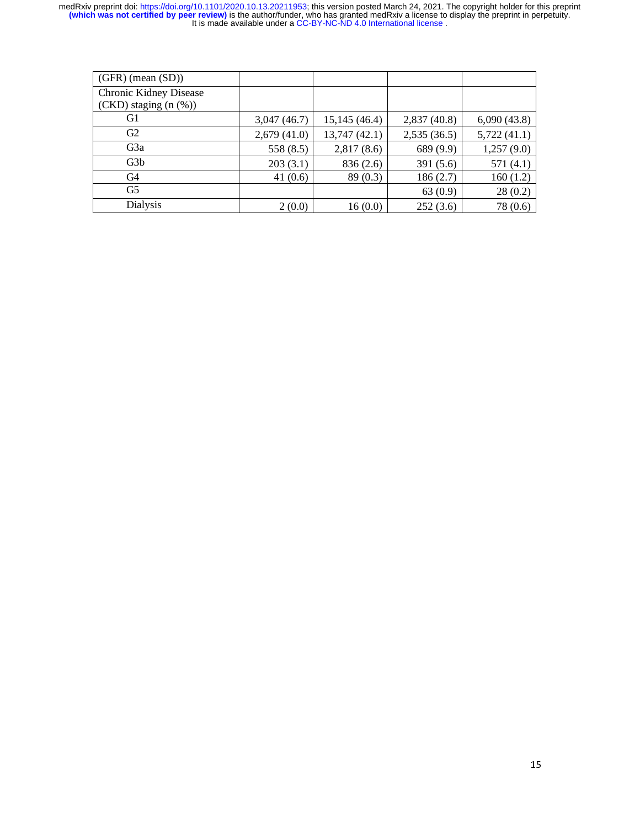| $(GFR)$ (mean $(SD)$ )        |             |              |             |             |
|-------------------------------|-------------|--------------|-------------|-------------|
| <b>Chronic Kidney Disease</b> |             |              |             |             |
| $(CKD)$ staging $(n \ (\%))$  |             |              |             |             |
| G1                            | 3,047(46.7) | 15,145(46.4) | 2,837(40.8) | 6,090(43.8) |
| G2                            | 2,679(41.0) | 13,747(42.1) | 2,535(36.5) | 5,722(41.1) |
| G <sub>3</sub> a              | 558(8.5)    | 2,817(8.6)   | 689 (9.9)   | 1,257(9.0)  |
| G <sub>3</sub> b              | 203(3.1)    | 836 (2.6)    | 391 (5.6)   | 571(4.1)    |
| G <sub>4</sub>                | 41 $(0.6)$  | 89(0.3)      | 186(2.7)    | 160(1.2)    |
| G <sub>5</sub>                |             |              | 63(0.9)     | 28(0.2)     |
| Dialysis                      | 2(0.0)      | 16(0.0)      | 252(3.6)    | 78 (0.6)    |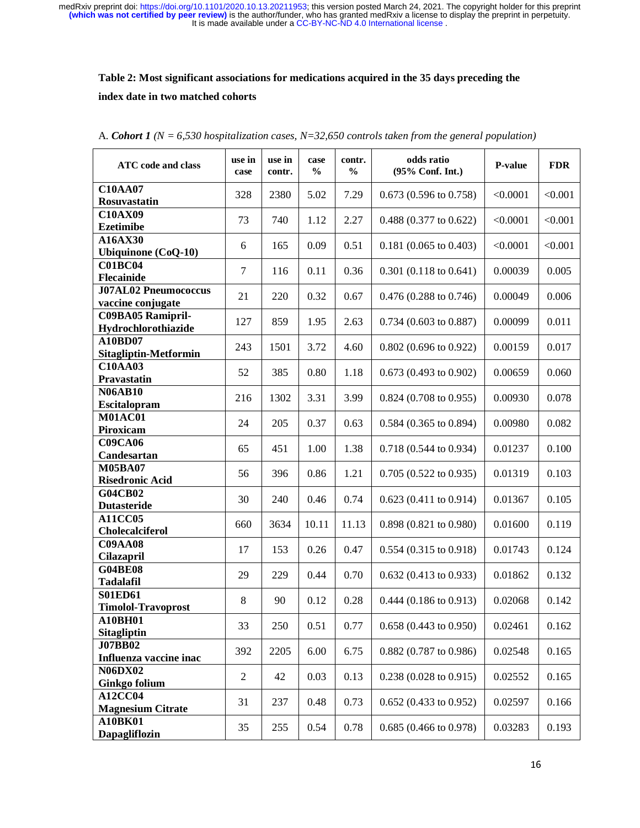# **Table 2: Most significant associations for medications acquired in the 35 days preceding the index date in two matched cohorts**

| <b>ATC</b> code and class                   | use in<br>case | use in<br>contr. | case<br>$\frac{0}{0}$ | contr.<br>$\frac{0}{0}$ | odds ratio<br>(95% Conf. Int.)   | P-value  | <b>FDR</b> |
|---------------------------------------------|----------------|------------------|-----------------------|-------------------------|----------------------------------|----------|------------|
| <b>C10AA07</b><br><b>Rosuvastatin</b>       | 328            | 2380             | 5.02                  | 7.29                    | $0.673$ (0.596 to 0.758)         | < 0.0001 | < 0.001    |
| <b>C10AX09</b><br><b>Ezetimibe</b>          | 73             | 740              | 1.12                  | 2.27                    | 0.488 (0.377 to 0.622)           | < 0.0001 | < 0.001    |
| A16AX30<br>Ubiquinone (CoQ-10)              | 6              | 165              | 0.09                  | 0.51                    | $0.181$ (0.065 to 0.403)         | < 0.0001 | < 0.001    |
| <b>C01BC04</b><br>Flecainide                | $\tau$         | 116              | 0.11                  | 0.36                    | $0.301$ (0.118 to 0.641)         | 0.00039  | 0.005      |
| <b>J07AL02 Pneumococcus</b>                 | 21             | 220              | 0.32                  | 0.67                    | $0.476$ (0.288 to 0.746)         | 0.00049  | 0.006      |
| vaccine conjugate<br>C09BA05 Ramipril-      | 127            | 859              | 1.95                  | 2.63                    | $0.734$ (0.603 to 0.887)         | 0.00099  | 0.011      |
| Hydrochlorothiazide<br>A10BD07              | 243            | 1501             | 3.72                  | 4.60                    | $0.802$ (0.696 to 0.922)         | 0.00159  | 0.017      |
| Sitagliptin-Metformin<br><b>C10AA03</b>     | 52             | 385              | 0.80                  | 1.18                    | $0.673(0.493 \text{ to } 0.902)$ | 0.00659  | 0.060      |
| Pravastatin<br><b>N06AB10</b>               | 216            | 1302             | 3.31                  | 3.99                    | $0.824$ (0.708 to 0.955)         | 0.00930  | 0.078      |
| Escitalopram<br><b>M01AC01</b>              |                |                  |                       |                         |                                  |          |            |
| Piroxicam<br><b>C09CA06</b>                 | 24             | 205              | 0.37                  | 0.63                    | $0.584$ (0.365 to 0.894)         | 0.00980  | 0.082      |
| Candesartan                                 | 65             | 451              | 1.00                  | 1.38                    | 0.718 (0.544 to 0.934)           | 0.01237  | 0.100      |
| <b>M05BA07</b><br><b>Risedronic Acid</b>    | 56             | 396              | 0.86                  | 1.21                    | $0.705(0.522 \text{ to } 0.935)$ | 0.01319  | 0.103      |
| <b>G04CB02</b><br><b>Dutasteride</b>        | 30             | 240              | 0.46                  | 0.74                    | $0.623(0.411 \text{ to } 0.914)$ | 0.01367  | 0.105      |
| <b>A11CC05</b><br>Cholecalciferol           | 660            | 3634             | 10.11                 | 11.13                   | 0.898 (0.821 to 0.980)           | 0.01600  | 0.119      |
| <b>C09AA08</b><br><b>Cilazapril</b>         | 17             | 153              | 0.26                  | 0.47                    | $0.554$ (0.315 to 0.918)         | 0.01743  | 0.124      |
| <b>G04BE08</b><br><b>Tadalafil</b>          | 29             | 229              | 0.44                  | 0.70                    | $0.632(0.413 \text{ to } 0.933)$ | 0.01862  | 0.132      |
| <b>S01ED61</b><br><b>Timolol-Travoprost</b> | $8\,$          | 90               | 0.12                  | 0.28                    | $0.444$ (0.186 to 0.913)         | 0.02068  | 0.142      |
| A10BH01<br><b>Sitagliptin</b>               | 33             | 250              | 0.51                  | 0.77                    | $0.658(0.443 \text{ to } 0.950)$ | 0.02461  | 0.162      |
| <b>J07BB02</b><br>Influenza vaccine inac    | 392            | 2205             | 6.00                  | 6.75                    | $0.882$ (0.787 to 0.986)         | 0.02548  | 0.165      |
| <b>N06DX02</b><br><b>Ginkgo folium</b>      | $\sqrt{2}$     | 42               | 0.03                  | 0.13                    | $0.238(0.028 \text{ to } 0.915)$ | 0.02552  | 0.165      |
| A12CC04<br><b>Magnesium Citrate</b>         | 31             | 237              | 0.48                  | 0.73                    | $0.652(0.433 \text{ to } 0.952)$ | 0.02597  | 0.166      |
| A10BK01<br>Dapagliflozin                    | 35             | 255              | 0.54                  | 0.78                    | $0.685(0.466 \text{ to } 0.978)$ | 0.03283  | 0.193      |

| A. Cohort 1 ( $N = 6,530$ hospitalization cases, $N = 32,650$ controls taken from the general population) |  |  |
|-----------------------------------------------------------------------------------------------------------|--|--|
|-----------------------------------------------------------------------------------------------------------|--|--|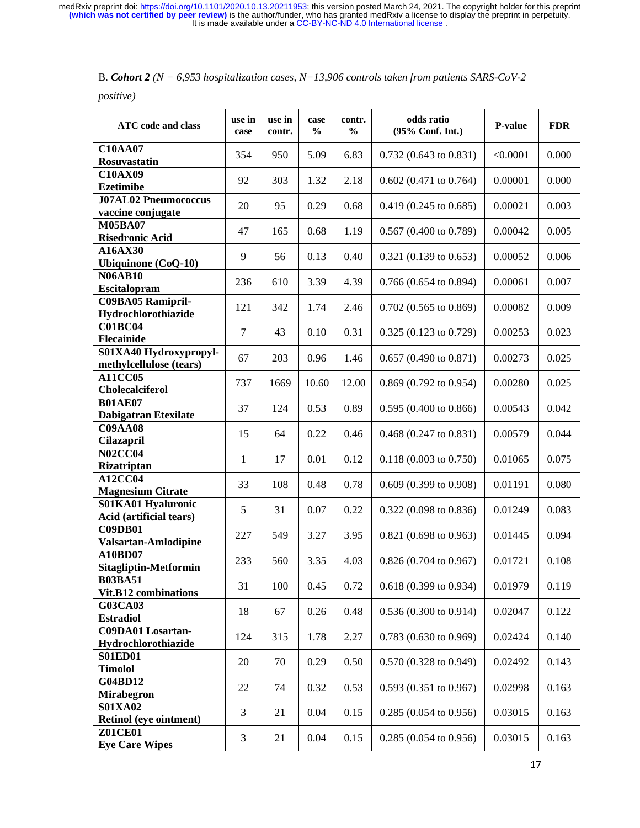*positive)* 

| <b>ATC</b> code and class                         | use in<br>case | use in<br>contr. | case<br>$\frac{0}{0}$ | contr.<br>$\frac{0}{0}$ | odds ratio<br>(95% Conf. Int.)   | P-value  | <b>FDR</b> |
|---------------------------------------------------|----------------|------------------|-----------------------|-------------------------|----------------------------------|----------|------------|
| <b>C10AA07</b><br>Rosuvastatin                    | 354            | 950              | 5.09                  | 6.83                    | $0.732(0.643 \text{ to } 0.831)$ | < 0.0001 | 0.000      |
| <b>C10AX09</b><br><b>Ezetimibe</b>                | 92             | 303              | 1.32                  | 2.18                    | $0.602$ (0.471 to 0.764)         | 0.00001  | 0.000      |
| <b>J07AL02 Pneumococcus</b><br>vaccine conjugate  | 20             | 95               | 0.29                  | 0.68                    | $0.419(0.245 \text{ to } 0.685)$ | 0.00021  | 0.003      |
| <b>M05BA07</b><br><b>Risedronic Acid</b>          | 47             | 165              | 0.68                  | 1.19                    | $0.567$ (0.400 to 0.789)         | 0.00042  | 0.005      |
| A16AX30<br><b>Ubiquinone</b> (CoQ-10)             | 9              | 56               | 0.13                  | 0.40                    | $0.321$ (0.139 to 0.653)         | 0.00052  | 0.006      |
| <b>N06AB10</b><br>Escitalopram                    | 236            | 610              | 3.39                  | 4.39                    | $0.766$ (0.654 to 0.894)         | 0.00061  | 0.007      |
| <b>C09BA05 Ramipril-</b><br>Hydrochlorothiazide   | 121            | 342              | 1.74                  | 2.46                    | $0.702$ (0.565 to 0.869)         | 0.00082  | 0.009      |
| <b>C01BC04</b><br>Flecainide                      | $\overline{7}$ | 43               | 0.10                  | 0.31                    | 0.325 (0.123 to 0.729)           | 0.00253  | 0.023      |
| S01XA40 Hydroxypropyl-<br>methylcellulose (tears) | 67             | 203              | 0.96                  | 1.46                    | $0.657$ (0.490 to 0.871)         | 0.00273  | 0.025      |
| <b>A11CC05</b><br><b>Cholecalciferol</b>          | 737            | 1669             | 10.60                 | 12.00                   | $0.869$ (0.792 to 0.954)         | 0.00280  | 0.025      |
| <b>B01AE07</b><br><b>Dabigatran Etexilate</b>     | 37             | 124              | 0.53                  | 0.89                    | $0.595(0.400 \text{ to } 0.866)$ | 0.00543  | 0.042      |
| <b>C09AA08</b><br><b>Cilazapril</b>               | 15             | 64               | 0.22                  | 0.46                    | $0.468$ (0.247 to 0.831)         | 0.00579  | 0.044      |
| <b>N02CC04</b><br>Rizatriptan                     | $\mathbf{1}$   | 17               | 0.01                  | 0.12                    | $0.118(0.003 \text{ to } 0.750)$ | 0.01065  | 0.075      |
| A12CC04<br><b>Magnesium Citrate</b>               | 33             | 108              | 0.48                  | 0.78                    | $0.609$ $(0.399$ to $0.908)$     | 0.01191  | 0.080      |
| S01KA01 Hyaluronic<br>Acid (artificial tears)     | 5              | 31               | 0.07                  | 0.22                    | $0.322$ (0.098 to 0.836)         | 0.01249  | 0.083      |
| <b>C09DB01</b><br>Valsartan-Amlodipine            | 227            | 549              | 3.27                  | 3.95                    | $0.821$ (0.698 to 0.963)         | 0.01445  | 0.094      |
| A10BD07<br>Sitagliptin-Metformin                  | 233            | 560              | 3.35                  | 4.03                    | $0.826(0.704 \text{ to } 0.967)$ | 0.01721  | 0.108      |
| <b>B03BA51</b><br>Vit.B12 combinations            | 31             | 100              | 0.45                  | 0.72                    | 0.618 (0.399 to 0.934)           | 0.01979  | 0.119      |
| <b>G03CA03</b><br><b>Estradiol</b>                | 18             | 67               | 0.26                  | 0.48                    | $0.536(0.300 \text{ to } 0.914)$ | 0.02047  | 0.122      |
| <b>C09DA01</b> Losartan-<br>Hydrochlorothiazide   | 124            | 315              | 1.78                  | 2.27                    | $0.783$ (0.630 to 0.969)         | 0.02424  | 0.140      |
| <b>S01ED01</b><br><b>Timolol</b>                  | 20             | 70               | 0.29                  | 0.50                    | $0.570(0.328 \text{ to } 0.949)$ | 0.02492  | 0.143      |
| G04BD12<br><b>Mirabegron</b>                      | 22             | 74               | 0.32                  | 0.53                    | $0.593(0.351 \text{ to } 0.967)$ | 0.02998  | 0.163      |
| <b>S01XA02</b><br>Retinol (eye ointment)          | 3              | 21               | 0.04                  | 0.15                    | $0.285(0.054 \text{ to } 0.956)$ | 0.03015  | 0.163      |
| <b>Z01CE01</b><br><b>Eye Care Wipes</b>           | 3              | 21               | 0.04                  | 0.15                    | $0.285(0.054 \text{ to } 0.956)$ | 0.03015  | 0.163      |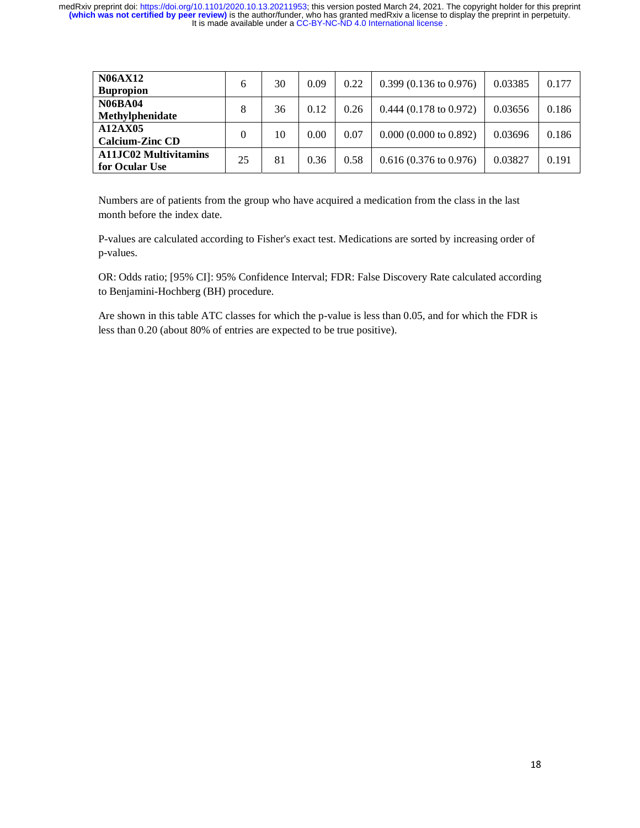| <b>N06AX12</b><br><b>Bupropion</b>             | 6  | 30 | 0.09 | 0.22 | $0.399(0.136 \text{ to } 0.976)$ | 0.03385 | 0.177 |
|------------------------------------------------|----|----|------|------|----------------------------------|---------|-------|
| <b>N06BA04</b><br>Methylphenidate              | 8  | 36 | 0.12 | 0.26 | $0.444(0.178 \text{ to } 0.972)$ | 0.03656 | 0.186 |
| A12AX05<br><b>Calcium-Zinc CD</b>              | 0  | 10 | 0.00 | 0.07 | 0.000(0.000 to 0.892)            | 0.03696 | 0.186 |
| <b>A11JC02 Multivitamins</b><br>for Ocular Use | 25 | 81 | 0.36 | 0.58 | $0.616(0.376 \text{ to } 0.976)$ | 0.03827 | 0.191 |

Numbers are of patients from the group who have acquired a medication from the class in the last month before the index date.

P-values are calculated according to Fisher's exact test. Medications are sorted by increasing order of p-values.

OR: Odds ratio; [95% CI]: 95% Confidence Interval; FDR: False Discovery Rate calculated according to Benjamini-Hochberg (BH) procedure.

Are shown in this table ATC classes for which the p-value is less than 0.05, and for which the FDR is less than 0.20 (about 80% of entries are expected to be true positive).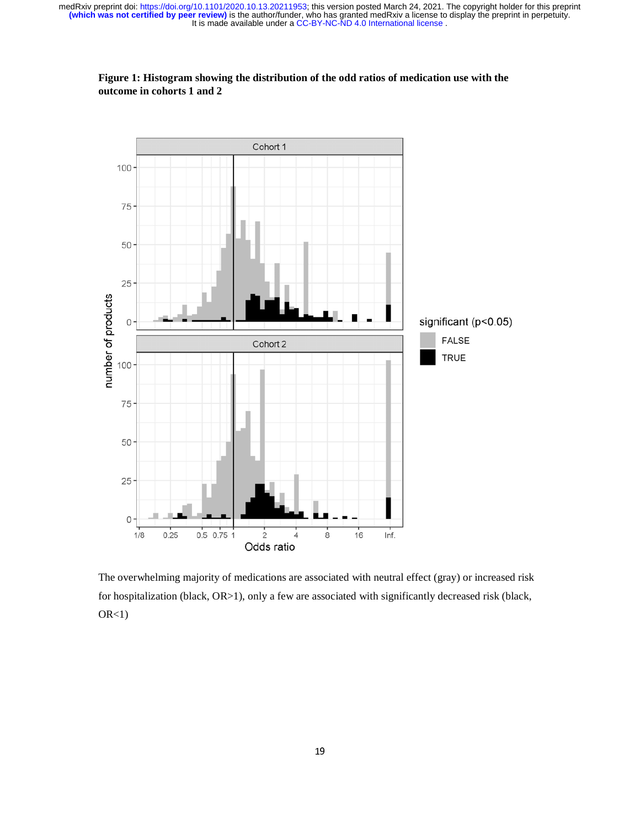

**Figure 1: Histogram showing the distribution of the odd ratios of medication use with the outcome in cohorts 1 and 2**

The overwhelming majority of medications are associated with neutral effect (gray) or increased risk for hospitalization (black, OR>1), only a few are associated with significantly decreased risk (black,  $OR<1$ )